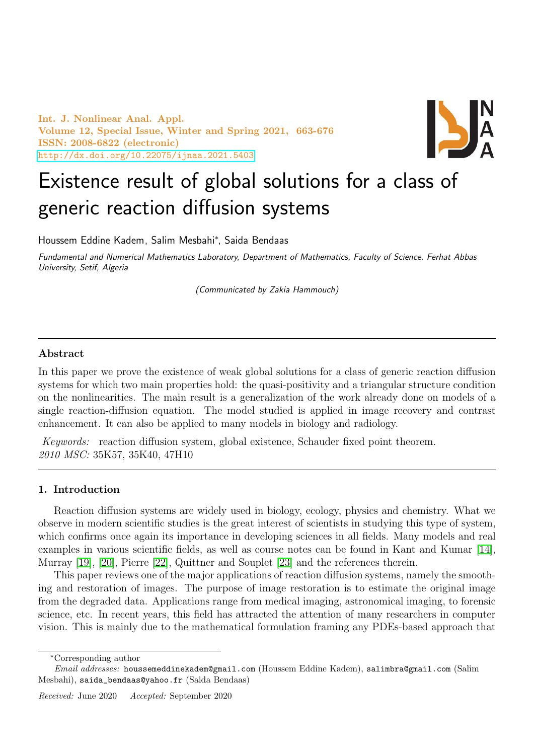Int. J. Nonlinear Anal. Appl. Volume 12, Special Issue, Winter and Spring 2021, 663-676 ISSN: 2008-6822 (electronic) <http://dx.doi.org/10.22075/ijnaa.2021.5403>



# Existence result of global solutions for a class of generic reaction diffusion systems

Houssem Eddine Kadem, Salim Mesbahi<sup>∗</sup> , Saida Bendaas

Fundamental and Numerical Mathematics Laboratory, Department of Mathematics, Faculty of Science, Ferhat Abbas University, Setif, Algeria

(Communicated by Zakia Hammouch)

# Abstract

In this paper we prove the existence of weak global solutions for a class of generic reaction diffusion systems for which two main properties hold: the quasi-positivity and a triangular structure condition on the nonlinearities. The main result is a generalization of the work already done on models of a single reaction-diffusion equation. The model studied is applied in image recovery and contrast enhancement. It can also be applied to many models in biology and radiology.

Keywords: reaction diffusion system, global existence, Schauder fixed point theorem. 2010 MSC: 35K57, 35K40, 47H10

# 1. Introduction

Reaction diffusion systems are widely used in biology, ecology, physics and chemistry. What we observe in modern scientific studies is the great interest of scientists in studying this type of system, which confirms once again its importance in developing sciences in all fields. Many models and real examples in various scientific fields, as well as course notes can be found in Kant and Kumar [\[14\]](#page-13-0), Murray [\[19\]](#page-13-1), [\[20\]](#page-13-2), Pierre [\[22\]](#page-13-3), Quittner and Souplet [\[23\]](#page-13-4) and the references therein.

This paper reviews one of the major applications of reaction diffusion systems, namely the smoothing and restoration of images. The purpose of image restoration is to estimate the original image from the degraded data. Applications range from medical imaging, astronomical imaging, to forensic science, etc. In recent years, this field has attracted the attention of many researchers in computer vision. This is mainly due to the mathematical formulation framing any PDEs-based approach that

<sup>∗</sup>Corresponding author

Email addresses: houssemeddinekadem@gmail.com (Houssem Eddine Kadem), salimbra@gmail.com (Salim Mesbahi), saida\_bendaas@yahoo.fr (Saida Bendaas)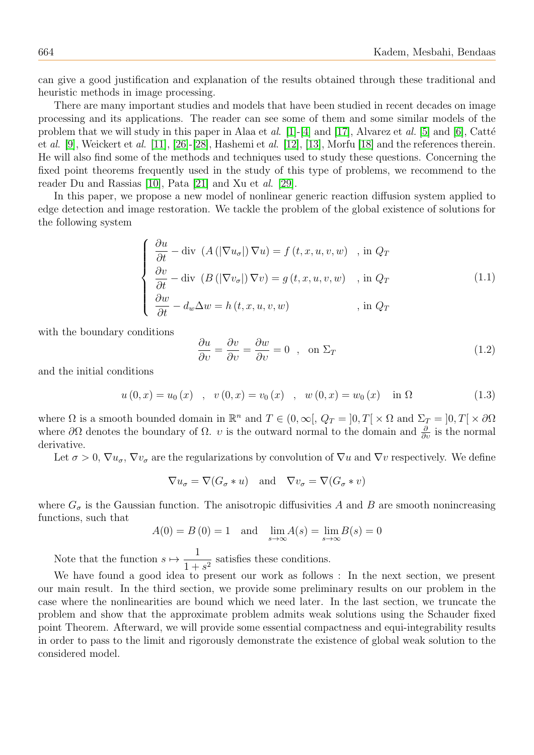can give a good justification and explanation of the results obtained through these traditional and heuristic methods in image processing.

There are many important studies and models that have been studied in recent decades on image processing and its applications. The reader can see some of them and some similar models of the problem that we will study in this paper in Alaa et al. [\[1\]](#page-12-0)-[\[4\]](#page-12-1) and [\[17\]](#page-13-5), Alvarez et al. [\[5\]](#page-12-2) and [\[6\]](#page-12-3), Catté et al. [\[9\]](#page-12-4), Weickert et al. [\[11\]](#page-12-5), [\[26\]](#page-13-6)-[\[28\]](#page-13-7), Hashemi et al. [\[12\]](#page-12-6), [\[13\]](#page-13-8), Morfu [\[18\]](#page-13-9) and the references therein. He will also find some of the methods and techniques used to study these questions. Concerning the fixed point theorems frequently used in the study of this type of problems, we recommend to the reader Du and Rassias [\[10\]](#page-12-7), Pata [\[21\]](#page-13-10) and Xu et al. [\[29\]](#page-13-11).

In this paper, we propose a new model of nonlinear generic reaction diffusion system applied to edge detection and image restoration. We tackle the problem of the global existence of solutions for the following system

<span id="page-1-0"></span>
$$
\begin{cases}\n\frac{\partial u}{\partial t} - \text{div} \left( A \left( |\nabla u_{\sigma}|\right) \nabla u \right) = f(t, x, u, v, w) & , \text{ in } Q_T \\
\frac{\partial v}{\partial t} - \text{div} \left( B \left( |\nabla v_{\sigma}|\right) \nabla v \right) = g(t, x, u, v, w) & , \text{ in } Q_T \\
\frac{\partial w}{\partial t} - d_w \Delta w = h(t, x, u, v, w) & , \text{ in } Q_T\n\end{cases}
$$
\n(1.1)

with the boundary conditions 
$$
\overline{a}
$$

$$
\frac{\partial u}{\partial v} = \frac{\partial v}{\partial v} = \frac{\partial w}{\partial v} = 0 \quad , \quad \text{on } \Sigma_T \tag{1.2}
$$

and the initial conditions

<span id="page-1-1"></span>
$$
u(0, x) = u_0(x)
$$
,  $v(0, x) = v_0(x)$ ,  $w(0, x) = w_0(x)$  in  $\Omega$  (1.3)

where  $\Omega$  is a smooth bounded domain in  $\mathbb{R}^n$  and  $T \in (0, \infty[, Q_T = ]0, T[ \times \Omega \text{ and } \Sigma_T = ]0, T[ \times \partial \Omega]$ where  $\partial\Omega$  denotes the boundary of  $\Omega$ . *v* is the outward normal to the domain and  $\frac{\partial}{\partial v}$  is the normal derivative.

Let  $\sigma > 0$ ,  $\nabla u_{\sigma}$ ,  $\nabla v_{\sigma}$  are the regularizations by convolution of  $\nabla u$  and  $\nabla v$  respectively. We define

$$
\nabla u_{\sigma} = \nabla (G_{\sigma} * u) \quad \text{and} \quad \nabla v_{\sigma} = \nabla (G_{\sigma} * v)
$$

where  $G_{\sigma}$  is the Gaussian function. The anisotropic diffusivities A and B are smooth nonincreasing functions, such that

$$
A(0) = B(0) = 1
$$
 and  $\lim_{s \to \infty} A(s) = \lim_{s \to \infty} B(s) = 0$ 

Note that the function  $s \mapsto \frac{1}{1+s}$  $\frac{1}{1+s^2}$  satisfies these conditions.

We have found a good idea to present our work as follows : In the next section, we present our main result. In the third section, we provide some preliminary results on our problem in the case where the nonlinearities are bound which we need later. In the last section, we truncate the problem and show that the approximate problem admits weak solutions using the Schauder fixed point Theorem. Afterward, we will provide some essential compactness and equi-integrability results in order to pass to the limit and rigorously demonstrate the existence of global weak solution to the considered model.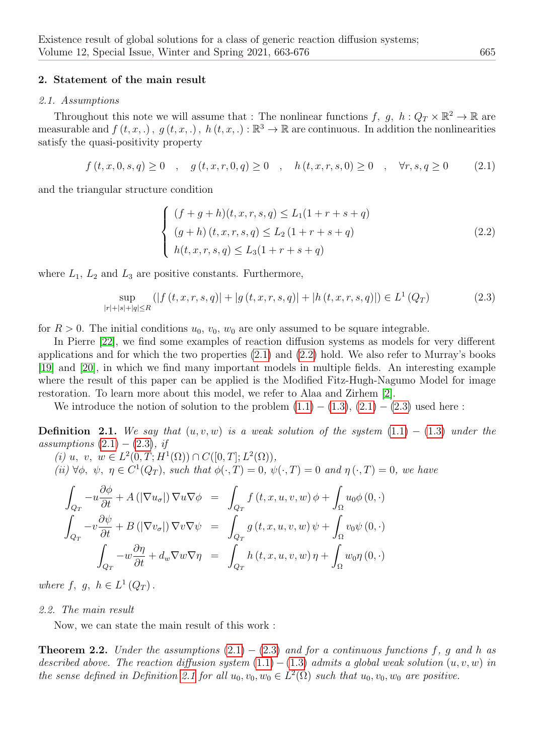## 2. Statement of the main result

#### 2.1. Assumptions

Throughout this note we will assume that : The nonlinear functions  $f, g, h: Q_T \times \mathbb{R}^2 \to \mathbb{R}$  are measurable and  $f(t, x, \cdot), g(t, x, \cdot), h(t, x, \cdot): \mathbb{R}^3 \to \mathbb{R}$  are continuous. In addition the nonlinearities satisfy the quasi-positivity property

<span id="page-2-0"></span>
$$
f(t, x, 0, s, q) \ge 0 \quad , \quad g(t, x, r, 0, q) \ge 0 \quad , \quad h(t, x, r, s, 0) \ge 0 \quad , \quad \forall r, s, q \ge 0 \tag{2.1}
$$

and the triangular structure condition

<span id="page-2-1"></span>
$$
\begin{cases}\n(f+g+h)(t,x,r,s,q) \le L_1(1+r+s+q) \\
(g+h)(t,x,r,s,q) \le L_2(1+r+s+q) \\
h(t,x,r,s,q) \le L_3(1+r+s+q)\n\end{cases}
$$
\n(2.2)

where  $L_1$ ,  $L_2$  and  $L_3$  are positive constants. Furthermore,

<span id="page-2-2"></span>
$$
\sup_{|r|+|s|+|q|\le R} (|f(t,x,r,s,q)|+|g(t,x,r,s,q)|+|h(t,x,r,s,q)|) \in L^1(Q_T)
$$
\n(2.3)

for  $R > 0$ . The initial conditions  $u_0, v_0, w_0$  are only assumed to be square integrable.

In Pierre [\[22\]](#page-13-3), we find some examples of reaction diffusion systems as models for very different applications and for which the two properties  $(2.1)$  $(2.1)$  and  $(2.2)$  $(2.2)$  hold. We also refer to Murray's books [\[19\]](#page-13-1) and [\[20\]](#page-13-2), in which we find many important models in multiple fields. An interesting example where the result of this paper can be applied is the Modified Fitz-Hugh-Nagumo Model for image restoration. To learn more about this model, we refer to Alaa and Zirhem [\[2\]](#page-12-8).

We introduce the notion of solution to the problem  $(1.1) - (1.3), (2.1) - (2.3)$  $(1.1) - (1.3), (2.1) - (2.3)$  $(1.1) - (1.3), (2.1) - (2.3)$  $(1.1) - (1.3), (2.1) - (2.3)$  $(1.1) - (1.3), (2.1) - (2.3)$  used here:

<span id="page-2-3"></span>**Definition 2.1.** We say that  $(u, v, w)$  is a weak solution of the system  $(1.1) - (1.3)$  $(1.1) - (1.3)$  under the assumptions  $(2.1) - (2.3)$  $(2.1) - (2.3)$ , if

(i) 
$$
u, v, w \in L^2(0,T; H^1(\Omega)) \cap C([0,T]; L^2(\Omega)),
$$
  
(ii)  $\forall \phi, \psi, \eta \in C^1(Q_T)$ , such that  $\phi(\cdot, T) = 0$ ,  $\psi(\cdot, T) = 0$  and  $\eta(\cdot, T) = 0$ , we have

$$
\int_{Q_T} -u \frac{\partial \phi}{\partial t} + A\left(|\nabla u_{\sigma}|\right) \nabla u \nabla \phi = \int_{Q_T} f(t, x, u, v, w) \phi + \int_{\Omega} u_0 \phi(0, \cdot)
$$
\n
$$
\int_{Q_T} -v \frac{\partial \psi}{\partial t} + B\left(|\nabla v_{\sigma}|\right) \nabla v \nabla \psi = \int_{Q_T} g(t, x, u, v, w) \psi + \int_{\Omega} v_0 \psi(0, \cdot)
$$
\n
$$
\int_{Q_T} -w \frac{\partial \eta}{\partial t} + d_w \nabla w \nabla \eta = \int_{Q_T} h(t, x, u, v, w) \eta + \int_{\Omega} w_0 \eta(0, \cdot)
$$

where  $f, g, h \in L^1(Q_T)$ .

#### 2.2. The main result

Now, we can state the main result of this work :

**Theorem 2.2.** Under the assumptions  $(2.1) - (2.3)$  $(2.1) - (2.3)$  $(2.1) - (2.3)$  $(2.1) - (2.3)$  $(2.1) - (2.3)$  and for a continuous functions f, g and h as described above. The reaction diffusion system  $(1.1) - (1.3)$  $(1.1) - (1.3)$  admits a global weak solution  $(u, v, w)$  in the sense defined in Definition [2.1](#page-2-3) for all  $u_0, v_0, w_0 \in L^2(\Omega)$  such that  $u_0, v_0, w_0$  are positive.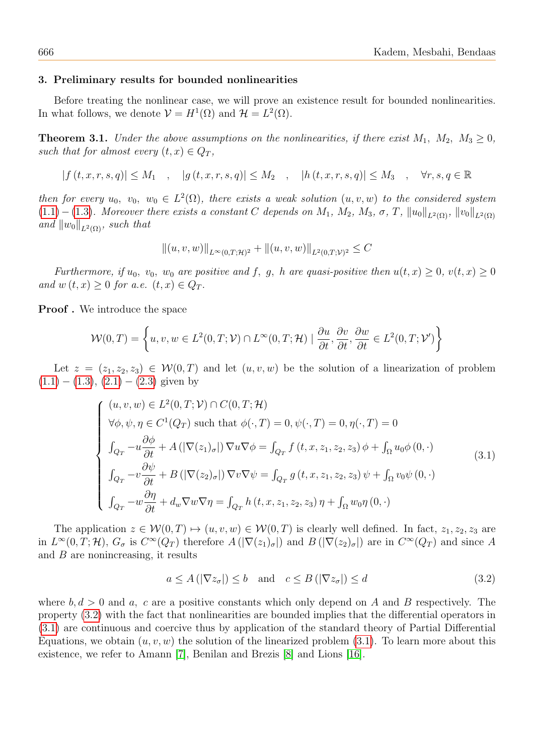#### 3. Preliminary results for bounded nonlinearities

Before treating the nonlinear case, we will prove an existence result for bounded nonlinearities. In what follows, we denote  $\mathcal{V} = H^1(\Omega)$  and  $\mathcal{H} = L^2(\Omega)$ .

<span id="page-3-2"></span>**Theorem 3.1.** Under the above assumptions on the nonlinearities, if there exist  $M_1$ ,  $M_2$ ,  $M_3 \geq 0$ , such that for almost every  $(t, x) \in Q_T$ ,

$$
|f(t, x, r, s, q)| \le M_1 \quad , \quad |g(t, x, r, s, q)| \le M_2 \quad , \quad |h(t, x, r, s, q)| \le M_3 \quad , \quad \forall r, s, q \in \mathbb{R}
$$

then for every  $u_0, v_0, w_0 \in L^2(\Omega)$ , there exists a weak solution  $(u, v, w)$  to the considered system  $(1.1)-(1.3)$  $(1.1)-(1.3)$  $(1.1)-(1.3)$ . Moreover there exists a constant C depends on  $M_1$ ,  $M_2$ ,  $M_3$ ,  $\sigma$ ,  $T$ ,  $||u_0||_{L^2(\Omega)}$ ,  $||v_0||_{L^2(\Omega)}$ and  $||w_0||_{L^2(\Omega)}$ , such that

$$
||(u, v, w)||_{L^{\infty}(0,T; \mathcal{H})^2} + ||(u, v, w)||_{L^2(0,T; \mathcal{V})^2} \leq C
$$

Furthermore, if  $u_0$ ,  $v_0$ ,  $w_0$  are positive and f, q, h are quasi-positive then  $u(t, x) \geq 0$ ,  $v(t, x) \geq 0$ and  $w(t, x) \geq 0$  for a.e.  $(t, x) \in Q_T$ .

Proof . We introduce the space

$$
\mathcal{W}(0,T) = \left\{ u, v, w \in L^2(0,T;\mathcal{V}) \cap L^\infty(0,T;\mathcal{H}) \mid \frac{\partial u}{\partial t}, \frac{\partial v}{\partial t}, \frac{\partial w}{\partial t} \in L^2(0,T;\mathcal{V}') \right\}
$$

Let  $z = (z_1, z_2, z_3) \in \mathcal{W}(0,T)$  and let  $(u, v, w)$  be the solution of a linearization of problem  $(1.1) - (1.3), (2.1) - (2.3)$  $(1.1) - (1.3), (2.1) - (2.3)$  $(1.1) - (1.3), (2.1) - (2.3)$  $(1.1) - (1.3), (2.1) - (2.3)$  $(1.1) - (1.3), (2.1) - (2.3)$  $(1.1) - (1.3), (2.1) - (2.3)$  given by

<span id="page-3-1"></span>
$$
\begin{cases}\n(u, v, w) \in L^{2}(0, T; \mathcal{V}) \cap C(0, T; \mathcal{H}) \\
\forall \phi, \psi, \eta \in C^{1}(Q_{T}) \text{ such that } \phi(\cdot, T) = 0, \psi(\cdot, T) = 0, \eta(\cdot, T) = 0 \\
\int_{Q_{T}} -u \frac{\partial \phi}{\partial t} + A\left( |\nabla(z_{1})_{\sigma}|\right) \nabla u \nabla \phi = \int_{Q_{T}} f\left(t, x, z_{1}, z_{2}, z_{3}\right) \phi + \int_{\Omega} u_{0} \phi\left(0, \cdot\right) \\
\int_{Q_{T}} -v \frac{\partial \psi}{\partial t} + B\left( |\nabla(z_{2})_{\sigma}|\right) \nabla v \nabla \psi = \int_{Q_{T}} g\left(t, x, z_{1}, z_{2}, z_{3}\right) \psi + \int_{\Omega} v_{0} \psi\left(0, \cdot\right) \\
\int_{Q_{T}} -w \frac{\partial \eta}{\partial t} + d_{w} \nabla w \nabla \eta = \int_{Q_{T}} h\left(t, x, z_{1}, z_{2}, z_{3}\right) \eta + \int_{\Omega} w_{0} \eta\left(0, \cdot\right)\n\end{cases}
$$
\n(3.1)

The application  $z \in \mathcal{W}(0,T) \mapsto (u, v, w) \in \mathcal{W}(0,T)$  is clearly well defined. In fact,  $z_1, z_2, z_3$  are in  $L^{\infty}(0,T;\mathcal{H})$ ,  $G_{\sigma}$  is  $C^{\infty}(Q_T)$  therefore  $A(|\nabla(z_1)_{\sigma}|)$  and  $B(|\nabla(z_2)_{\sigma}|)$  are in  $C^{\infty}(Q_T)$  and since A and  $B$  are nonincreasing, it results

<span id="page-3-0"></span>
$$
a \le A\left(|\nabla z_{\sigma}|\right) \le b \quad \text{and} \quad c \le B\left(|\nabla z_{\sigma}|\right) \le d\tag{3.2}
$$

where  $b, d > 0$  and a, c are a positive constants which only depend on A and B respectively. The property [\(3](#page-3-0).2) with the fact that nonlinearities are bounded implies that the differential operators in [\(3](#page-3-1).1) are continuous and coercive thus by application of the standard theory of Partial Differential Equations, we obtain  $(u, v, w)$  the solution of the linearized problem (3.[1\)](#page-3-1). To learn more about this existence, we refer to Amann [\[7\]](#page-12-9), Benilan and Brezis [\[8\]](#page-12-10) and Lions [\[16\]](#page-13-12).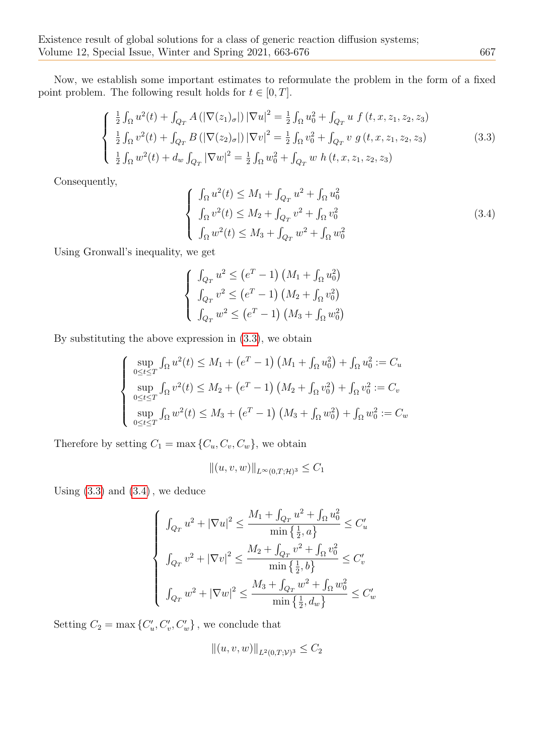Now, we establish some important estimates to reformulate the problem in the form of a fixed point problem. The following result holds for  $t \in [0, T]$ .

<span id="page-4-0"></span>
$$
\begin{cases} \frac{1}{2} \int_{\Omega} u^{2}(t) + \int_{Q_{T}} A\left( |\nabla(z_{1})_{\sigma}|\right) |\nabla u|^{2} = \frac{1}{2} \int_{\Omega} u_{0}^{2} + \int_{Q_{T}} u f(t, x, z_{1}, z_{2}, z_{3}) \\ \frac{1}{2} \int_{\Omega} v^{2}(t) + \int_{Q_{T}} B\left( |\nabla(z_{2})_{\sigma}|\right) |\nabla v|^{2} = \frac{1}{2} \int_{\Omega} v_{0}^{2} + \int_{Q_{T}} v g(t, x, z_{1}, z_{2}, z_{3}) \\ \frac{1}{2} \int_{\Omega} w^{2}(t) + d_{w} \int_{Q_{T}} |\nabla w|^{2} = \frac{1}{2} \int_{\Omega} w_{0}^{2} + \int_{Q_{T}} w h(t, x, z_{1}, z_{2}, z_{3}) \end{cases}
$$
(3.3)

Consequently,

<span id="page-4-1"></span>
$$
\begin{cases}\n\int_{\Omega} u^2(t) \leq M_1 + \int_{Q_T} u^2 + \int_{\Omega} u_0^2 \\
\int_{\Omega} v^2(t) \leq M_2 + \int_{Q_T} v^2 + \int_{\Omega} v_0^2 \\
\int_{\Omega} w^2(t) \leq M_3 + \int_{Q_T} w^2 + \int_{\Omega} w_0^2\n\end{cases}
$$
\n(3.4)

Using Gronwall's inequality, we get

$$
\begin{cases} \n\int_{Q_T} u^2 \leq (e^T - 1) \left( M_1 + \int_{\Omega} u_0^2 \right) \\
\int_{Q_T} v^2 \leq (e^T - 1) \left( M_2 + \int_{\Omega} v_0^2 \right) \\
\int_{Q_T} w^2 \leq (e^T - 1) \left( M_3 + \int_{\Omega} w_0^2 \right)\n\end{cases}
$$

By substituting the above expression in (3.[3\)](#page-4-0), we obtain

$$
\begin{cases}\n\sup_{0 \le t \le T} \int_{\Omega} u^2(t) \le M_1 + (e^T - 1) \left( M_1 + \int_{\Omega} u_0^2 \right) + \int_{\Omega} u_0^2 := C_u \\
\sup_{0 \le t \le T} \int_{\Omega} v^2(t) \le M_2 + (e^T - 1) \left( M_2 + \int_{\Omega} v_0^2 \right) + \int_{\Omega} v_0^2 := C_v \\
\sup_{0 \le t \le T} \int_{\Omega} w^2(t) \le M_3 + (e^T - 1) \left( M_3 + \int_{\Omega} w_0^2 \right) + \int_{\Omega} w_0^2 := C_w\n\end{cases}
$$

Therefore by setting  $C_1 = \max\{C_u, C_v, C_w\}$ , we obtain

$$
||(u, v, w)||_{L^{\infty}(0,T; \mathcal{H})^3} \leq C_1
$$

Using  $(3.3)$  $(3.3)$  and  $(3.4)$  $(3.4)$ , we deduce

$$
\begin{cases} \n\int_{Q_T} u^2 + |\nabla u|^2 \le \frac{M_1 + \int_{Q_T} u^2 + \int_{\Omega} u_0^2}{\min\left\{\frac{1}{2}, a\right\}} \le C_u' \\
\int_{Q_T} v^2 + |\nabla v|^2 \le \frac{M_2 + \int_{Q_T} v^2 + \int_{\Omega} v_0^2}{\min\left\{\frac{1}{2}, b\right\}} \le C_v' \\
\int_{Q_T} w^2 + |\nabla w|^2 \le \frac{M_3 + \int_{Q_T} w^2 + \int_{\Omega} w_0^2}{\min\left\{\frac{1}{2}, d_w\right\}} \le C_w' \n\end{cases}
$$

Setting  $C_2 = \max \{C'_u, C'_v, C'_w\}$ , we conclude that

$$
||(u, v, w)||_{L^2(0,T; \mathcal{V})^3} \leq C_2
$$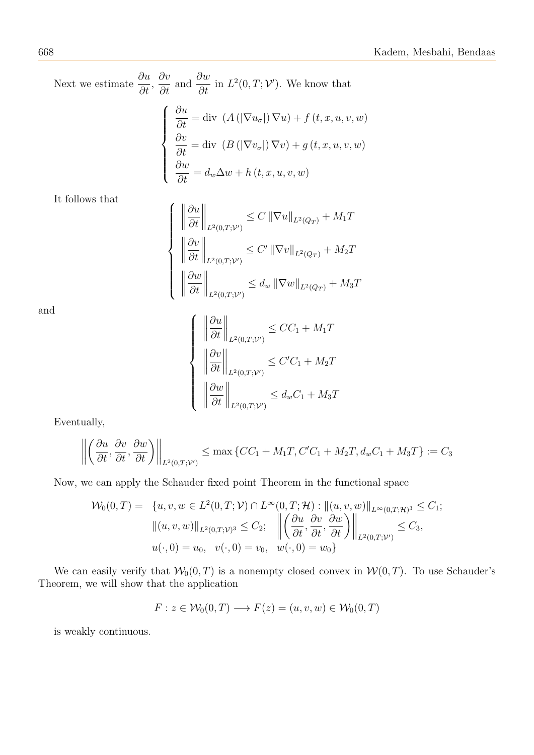Next we estimate  $\frac{\partial u}{\partial x}$  $\frac{\partial u}{\partial t}$ ,  $\frac{\partial v}{\partial t}$  and  $\frac{\partial w}{\partial t}$  in  $L^2(0,T; \mathcal{V}')$ . We know that  $\sqrt{ }$  $\int$  $\begin{array}{c} \end{array}$  $\frac{\partial u}{\partial t} = \text{div}(A(|\nabla u_{\sigma}|) \nabla u) + f(t, x, u, v, w))$  $\frac{\partial v}{\partial t} = \text{div} \left( B \left( |\nabla v_{\sigma}| \right) \nabla v \right) + g \left( t, x, u, v, w \right)$ ∂w  $\frac{\partial u}{\partial t} = d_w \Delta w + h(t, x, u, v, w)$ 

 $\sqrt{ }$ 

 $\begin{array}{c} \hline \end{array}$ 

 $\begin{array}{c} \hline \end{array}$ 

It follows that

$$
\left\|\frac{\partial u}{\partial t}\right\|_{L^2(0,T;\mathcal{V}')} \leq C \left\|\nabla u\right\|_{L^2(Q_T)} + M_1T
$$

$$
\left\|\frac{\partial v}{\partial t}\right\|_{L^2(0,T;\mathcal{V}')} \leq C' \left\|\nabla v\right\|_{L^2(Q_T)} + M_2T
$$

$$
\left\|\frac{\partial w}{\partial t}\right\|_{L^2(0,T;\mathcal{V}')} \leq d_w \left\|\nabla w\right\|_{L^2(Q_T)} + M_3T
$$

and

$$
\left\{\begin{array}{l}\left\|\frac{\partial u}{\partial t}\right\|_{L^{2}(0,T; \mathcal{V}')} \leq CC_{1} + M_{1}T\\ \left\|\frac{\partial v}{\partial t}\right\|_{L^{2}(0,T; \mathcal{V}')} \leq C'C_{1} + M_{2}T\\ \left\|\frac{\partial w}{\partial t}\right\|_{L^{2}(0,T; \mathcal{V}')} \leq d_{w}C_{1} + M_{3}T\end{array}\right.
$$

Eventually,

$$
\left\| \left( \frac{\partial u}{\partial t}, \frac{\partial v}{\partial t}, \frac{\partial w}{\partial t} \right) \right\|_{L^2(0,T;V')} \le \max \left\{ CC_1 + M_1T, C'C_1 + M_2T, d_wC_1 + M_3T \right\} := C_3
$$

Now, we can apply the Schauder fixed point Theorem in the functional space

$$
\mathcal{W}_0(0,T) = \{u, v, w \in L^2(0,T; \mathcal{V}) \cap L^{\infty}(0,T; \mathcal{H}) : ||(u, v, w)||_{L^{\infty}(0,T; \mathcal{H})^3} \leq C_1; ||(u, v, w)||_{L^2(0,T; \mathcal{V})^3} \leq C_2; \quad \left\| \left( \frac{\partial u}{\partial t}, \frac{\partial v}{\partial t}, \frac{\partial w}{\partial t} \right) \right\|_{L^2(0,T; \mathcal{V}')} \leq C_3, u(\cdot, 0) = u_0, \quad v(\cdot, 0) = v_0, \quad w(\cdot, 0) = w_0 \}
$$

We can easily verify that  $W_0(0,T)$  is a nonempty closed convex in  $W(0,T)$ . To use Schauder's Theorem, we will show that the application

$$
F: z \in \mathcal{W}_0(0,T) \longrightarrow F(z) = (u,v,w) \in \mathcal{W}_0(0,T)
$$

is weakly continuous.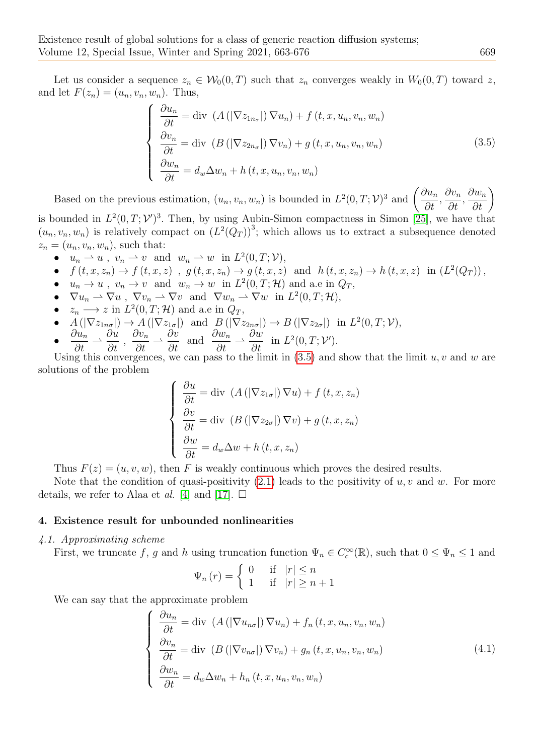Let us consider a sequence  $z_n \in W_0(0,T)$  such that  $z_n$  converges weakly in  $W_0(0,T)$  toward z, and let  $F(z_n) = (u_n, v_n, w_n)$ . Thus,

<span id="page-6-0"></span>
$$
\begin{cases}\n\frac{\partial u_n}{\partial t} = \text{div} \left( A \left( |\nabla z_{1n_\sigma}|\right) \nabla u_n \right) + f \left( t, x, u_n, v_n, w_n \right) \\
\frac{\partial v_n}{\partial t} = \text{div} \left( B \left( |\nabla z_{2n_\sigma}|\right) \nabla v_n \right) + g \left( t, x, u_n, v_n, w_n \right) \\
\frac{\partial w_n}{\partial t} = d_w \Delta w_n + h \left( t, x, u_n, v_n, w_n \right)\n\end{cases} \tag{3.5}
$$

Based on the previous estimation,  $(u_n, v_n, w_n)$  is bounded in  $L^2(0,T; \mathcal{V})^3$  and  $\left(\frac{\partial u_n}{\partial x}\right)$  $\frac{\partial u_n}{\partial t},$  $\partial v_n$  $\frac{\partial}{\partial t}$ ,  $\frac{\partial w_n}{\partial t}\bigg)$ is bounded in  $L^2(0,T; \mathcal{V}')^3$ . Then, by using Aubin-Simon compactness in Simon [\[25\]](#page-13-13), we have that

 $(u_n, v_n, w_n)$  is relatively compact on  $(L^2(Q_T))^3$ ; which allows us to extract a subsequence denoted  $z_n = (u_n, v_n, w_n)$ , such that:

- $u_n \rightharpoonup u$ ,  $v_n \rightharpoonup v$  and  $w_n \rightharpoonup w$  in  $L^2(0,T; \mathcal{V}),$
- $f(t, x, z_n) \to f(t, x, z)$ ,  $g(t, x, z_n) \to g(t, x, z)$  and  $h(t, x, z_n) \to h(t, x, z)$  in  $(L^2(Q_T))$ ,
- $u_n \to u$ ,  $v_n \to v$  and  $w_n \to w$  in  $L^2(0,T;\mathcal{H})$  and a.e in  $Q_T$ ,
- $\nabla u_n \rightharpoonup \nabla u$ ,  $\nabla v_n \rightharpoonup \nabla v$  and  $\nabla w_n \rightharpoonup \nabla w$  in  $L^2(0,T;\mathcal{H})$ ,
- $z_n \longrightarrow z$  in  $L^2(0,T;\mathcal{H})$  and a.e in  $Q_T$ ,
- $A(|\nabla z_{1n\sigma}|) \to A(|\nabla z_{1\sigma}|)$  and  $B(|\nabla z_{2n\sigma}|) \to B(|\nabla z_{2\sigma}|)$  in  $L^2(0,T;\mathcal{V}),$
- $\bullet$   $\frac{\partial u_n}{\partial t}$  $\frac{\partial u_n}{\partial t} \rightharpoonup$ ∂u  $\frac{\partial u}{\partial t}$ ,  $\partial v_n$  $\frac{\partial}{\partial t}$  →  $\frac{\partial v}{\partial t}$  and  $\frac{\partial w_n}{\partial t} \rightharpoonup$  $\partial w$  $\frac{\partial u}{\partial t}$  in  $L^2(0,T; \mathcal{V}')$ .

Using this convergences, we can pass to the limit in  $(3.5)$  $(3.5)$  and show that the limit u, v and w are solutions of the problem

$$
\begin{cases}\n\frac{\partial u}{\partial t} = \text{div} \left( A \left( |\nabla z_{1\sigma}| \right) \nabla u \right) + f \left( t, x, z_n \right) \\
\frac{\partial v}{\partial t} = \text{div} \left( B \left( |\nabla z_{2\sigma}| \right) \nabla v \right) + g \left( t, x, z_n \right) \\
\frac{\partial w}{\partial t} = d_w \Delta w + h \left( t, x, z_n \right)\n\end{cases}
$$

Thus  $F(z) = (u, v, w)$ , then F is weakly continuous which proves the desired results.

Note that the condition of quasi-positivity  $(2.1)$  $(2.1)$  leads to the positivity of u, v and w. For more details, we refer to Alaa et al. [\[4\]](#page-12-1) and [\[17\]](#page-13-5).  $\square$ 

# 4. Existence result for unbounded nonlinearities

## 4.1. Approximating scheme

First, we truncate f, g and h using truncation function  $\Psi_n \in C_c^{\infty}(\mathbb{R})$ , such that  $0 \leq \Psi_n \leq 1$  and

$$
\Psi_n(r) = \begin{cases} 0 & \text{if } |r| \le n \\ 1 & \text{if } |r| \ge n+1 \end{cases}
$$

We can say that the approximate problem

<span id="page-6-1"></span>
$$
\begin{cases}\n\frac{\partial u_n}{\partial t} = \text{div} \left( A \left( |\nabla u_{n\sigma}|\right) \nabla u_n \right) + f_n(t, x, u_n, v_n, w_n) \\
\frac{\partial v_n}{\partial t} = \text{div} \left( B \left( |\nabla v_{n\sigma}|\right) \nabla v_n \right) + g_n(t, x, u_n, v_n, w_n) \\
\frac{\partial w_n}{\partial t} = d_w \Delta w_n + h_n(t, x, u_n, v_n, w_n)\n\end{cases} \tag{4.1}
$$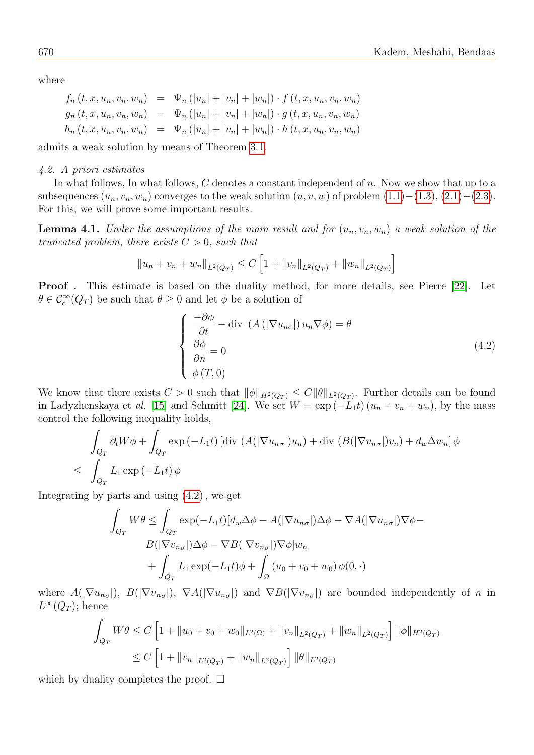where

$$
f_n(t, x, u_n, v_n, w_n) = \Psi_n(|u_n| + |v_n| + |w_n|) \cdot f(t, x, u_n, v_n, w_n)
$$
  
\n
$$
g_n(t, x, u_n, v_n, w_n) = \Psi_n(|u_n| + |v_n| + |w_n|) \cdot g(t, x, u_n, v_n, w_n)
$$
  
\n
$$
h_n(t, x, u_n, v_n, w_n) = \Psi_n(|u_n| + |v_n| + |w_n|) \cdot h(t, x, u_n, v_n, w_n)
$$

admits a weak solution by means of Theorem [3.1.](#page-3-2)

#### 4.2. A priori estimates

In what follows, In what follows,  $C$  denotes a constant independent of  $n$ . Now we show that up to a subsequences  $(u_n, v_n, w_n)$  converges to the weak solution  $(u, v, w)$  of problem  $(1.1)–(1.3), (2.1)–(2.3)$  $(1.1)–(1.3), (2.1)–(2.3)$  $(1.1)–(1.3), (2.1)–(2.3)$  $(1.1)–(1.3), (2.1)–(2.3)$  $(1.1)–(1.3), (2.1)–(2.3)$ . For this, we will prove some important results.

<span id="page-7-1"></span>**Lemma 4.1.** Under the assumptions of the main result and for  $(u_n, v_n, w_n)$  a weak solution of the truncated problem, there exists  $C > 0$ , such that

$$
||u_n + v_n + w_n||_{L^2(Q_T)} \le C \left[1 + ||v_n||_{L^2(Q_T)} + ||w_n||_{L^2(Q_T)}\right]
$$

Proof . This estimate is based on the duality method, for more details, see Pierre [\[22\]](#page-13-3). Let  $\theta \in \mathcal{C}^{\infty}_c(Q_T)$  be such that  $\theta \geq 0$  and let  $\phi$  be a solution of

<span id="page-7-0"></span>
$$
\begin{cases}\n\frac{-\partial \phi}{\partial t} - \text{div} \left( A \left( |\nabla u_{n\sigma}|\right) u_n \nabla \phi \right) = \theta \\
\frac{\partial \phi}{\partial n} = 0 \\
\phi(T, 0)\n\end{cases}
$$
\n(4.2)

We know that there exists  $C > 0$  such that  $\|\phi\|_{H^2(Q_T)} \leq C \|\theta\|_{L^2(Q_T)}$ . Further details can be found in Ladyzhenskaya et al. [\[15\]](#page-13-14) and Schmitt [\[24\]](#page-13-15). We set  $W = \exp(-L_1t)(u_n + v_n + w_n)$ , by the mass control the following inequality holds,

$$
\int_{Q_T} \partial_t W\phi + \int_{Q_T} \exp(-L_1 t) \left[ \operatorname{div} (A(|\nabla u_{n\sigma}|)u_n) + \operatorname{div} (B(|\nabla v_{n\sigma}|)v_n) + d_w \Delta w_n \right] \phi
$$
\n
$$
\leq \int_{Q_T} L_1 \exp(-L_1 t) \phi
$$

Integrating by parts and using [\(4](#page-7-0).2), we get

$$
\int_{Q_T} W\theta \le \int_{Q_T} \exp(-L_1 t) [d_w \Delta \phi - A(|\nabla u_{n\sigma}|) \Delta \phi - \nabla A(|\nabla u_{n\sigma}|) \nabla \phi - B(|\nabla v_{n\sigma}|) \Delta \phi - \nabla B(|\nabla v_{n\sigma}|) \nabla \phi] w_n \n+ \int_{Q_T} L_1 \exp(-L_1 t) \phi + \int_{\Omega} (u_0 + v_0 + w_0) \phi(0, \cdot)
$$

where  $A(|\nabla u_{n\sigma}|), B(|\nabla v_{n\sigma}|), \nabla A(|\nabla u_{n\sigma}|)$  and  $\nabla B(|\nabla v_{n\sigma}|)$  are bounded independently of n in  $L^{\infty}(Q_T)$ ; hence

$$
\int_{Q_T} W\theta \le C \left[ 1 + \|u_0 + v_0 + w_0\|_{L^2(\Omega)} + \|v_n\|_{L^2(Q_T)} + \|w_n\|_{L^2(Q_T)} \right] \|\phi\|_{H^2(Q_T)} \le C \left[ 1 + \|v_n\|_{L^2(Q_T)} + \|w_n\|_{L^2(Q_T)} \right] \|\theta\|_{L^2(Q_T)}.
$$

<span id="page-7-2"></span>which by duality completes the proof.  $\square$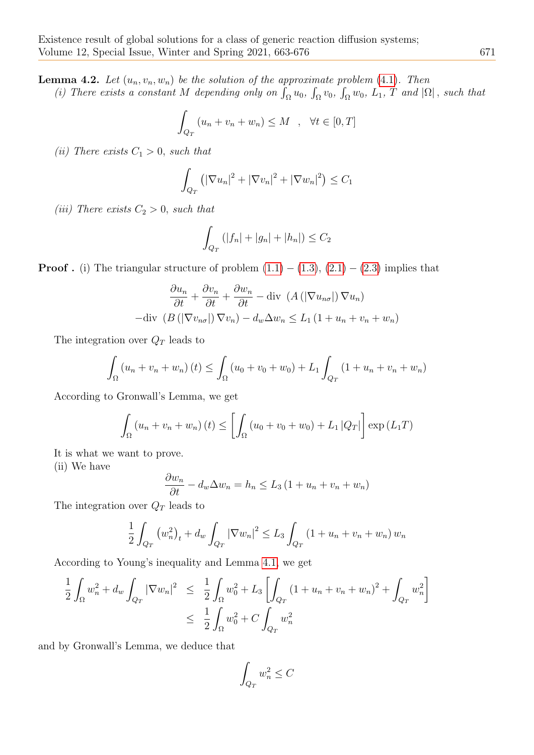**Lemma 4.2.** Let  $(u_n, v_n, w_n)$  be the solution of the approximate problem [\(4](#page-6-1).1). Then (i) There exists a constant M depending only on  $\int_{\Omega} u_0$ ,  $\int_{\Omega} v_0$ ,  $\int_{\Omega} w_0$ ,  $L_1$ , T and  $|\Omega|$ , such that

$$
\int_{Q_T} (u_n + v_n + w_n) \le M \quad , \quad \forall t \in [0, T]
$$

(ii) There exists  $C_1 > 0$ , such that

$$
\int_{Q_T} \left( \left| \nabla u_n \right|^2 + \left| \nabla v_n \right|^2 + \left| \nabla w_n \right|^2 \right) \le C_1
$$

(iii) There exists  $C_2 > 0$ , such that

$$
\int_{Q_T} (|f_n| + |g_n| + |h_n|) \le C_2
$$

**Proof** . (i) The triangular structure of problem  $(1.1) - (1.3), (2.1) - (2.3)$  $(1.1) - (1.3), (2.1) - (2.3)$  $(1.1) - (1.3), (2.1) - (2.3)$  $(1.1) - (1.3), (2.1) - (2.3)$  $(1.1) - (1.3), (2.1) - (2.3)$  implies that

$$
\frac{\partial u_n}{\partial t} + \frac{\partial v_n}{\partial t} + \frac{\partial w_n}{\partial t} - \text{div} \left( A \left( |\nabla u_{n\sigma}| \right) \nabla u_n \right) - \text{div} \left( B \left( |\nabla v_{n\sigma}| \right) \nabla v_n \right) - d_w \Delta w_n \le L_1 \left( 1 + u_n + v_n + w_n \right)
$$

The integration over  $Q_T$  leads to

$$
\int_{\Omega} (u_n + v_n + w_n)(t) \le \int_{\Omega} (u_0 + v_0 + w_0) + L_1 \int_{Q_T} (1 + u_n + v_n + w_n)
$$

According to Gronwall's Lemma, we get

$$
\int_{\Omega} (u_n + v_n + w_n) (t) \le \left[ \int_{\Omega} (u_0 + v_0 + w_0) + L_1 |Q_T| \right] \exp(L_1 T)
$$

It is what we want to prove.

(ii) We have

$$
\frac{\partial w_n}{\partial t} - d_w \Delta w_n = h_n \le L_3 \left( 1 + u_n + v_n + w_n \right)
$$

The integration over  $Q_T$  leads to

$$
\frac{1}{2} \int_{Q_T} (w_n^2)_t + d_w \int_{Q_T} |\nabla w_n|^2 \le L_3 \int_{Q_T} (1 + u_n + v_n + w_n) w_n
$$

According to Young's inequality and Lemma [4.1,](#page-7-1) we get

$$
\frac{1}{2} \int_{\Omega} w_n^2 + d_w \int_{Q_T} |\nabla w_n|^2 \leq \frac{1}{2} \int_{\Omega} w_0^2 + L_3 \left[ \int_{Q_T} (1 + u_n + v_n + w_n)^2 + \int_{Q_T} w_n^2 \right] \n\leq \frac{1}{2} \int_{\Omega} w_0^2 + C \int_{Q_T} w_n^2
$$

and by Gronwall's Lemma, we deduce that

$$
\int_{Q_T} w_n^2 \le C
$$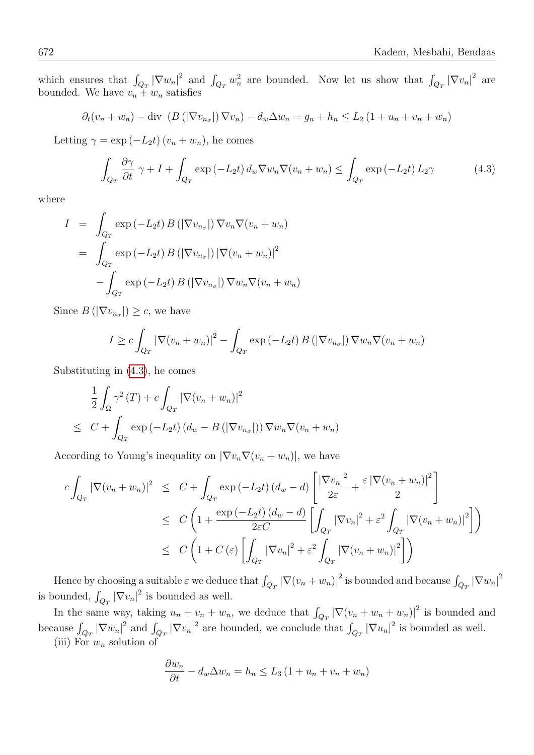which ensures that  $\int_{Q_T} |\nabla w_n|^2$  and  $\int_{Q_T} w_n^2$  are bounded. Now let us show that  $\int_{Q_T} |\nabla v_n|^2$  are bounded. We have  $v_n + w_n$  satisfies

$$
\partial_t (v_n + w_n) - \text{div} \left( B\left( |\nabla v_{n_\sigma}|\right) \nabla v_n \right) - d_w \Delta w_n = g_n + h_n \le L_2 \left( 1 + u_n + v_n + w_n \right)
$$

Letting  $\gamma = \exp(-L_2t)(v_n + w_n)$ , he comes

<span id="page-9-0"></span>
$$
\int_{Q_T} \frac{\partial \gamma}{\partial t} \gamma + I + \int_{Q_T} \exp(-L_2 t) d_w \nabla w_n \nabla (v_n + w_n) \le \int_{Q_T} \exp(-L_2 t) L_2 \gamma \tag{4.3}
$$

where

$$
I = \int_{Q_T} \exp(-L_2 t) B\left(|\nabla v_{n\sigma}|\right) \nabla v_n \nabla (v_n + w_n)
$$
  
= 
$$
\int_{Q_T} \exp(-L_2 t) B\left(|\nabla v_{n\sigma}|\right) |\nabla (v_n + w_n)|^2
$$
  
- 
$$
\int_{Q_T} \exp(-L_2 t) B\left(|\nabla v_{n\sigma}|\right) \nabla w_n \nabla (v_n + w_n)
$$

Since  $B(|\nabla v_{n_{\sigma}}|) \geq c$ , we have

$$
I \geq c \int_{Q_T} |\nabla (v_n + w_n)|^2 - \int_{Q_T} \exp(-L_2 t) B(|\nabla v_{n_\sigma}|) \nabla w_n \nabla (v_n + w_n)
$$

Substituting in [\(4](#page-9-0).3), he comes

$$
\frac{1}{2} \int_{\Omega} \gamma^2(T) + c \int_{Q_T} |\nabla (v_n + w_n)|^2
$$
  
\n
$$
\leq C + \int_{Q_T} \exp(-L_2 t) (d_w - B(|\nabla v_{n_\sigma}|)) \nabla w_n \nabla (v_n + w_n)
$$

According to Young's inequality on  $|\nabla v_n \nabla (v_n + w_n)|$ , we have

$$
c \int_{Q_T} |\nabla (v_n + w_n)|^2 \leq C + \int_{Q_T} \exp(-L_2 t) (d_w - d) \left[ \frac{|\nabla v_n|^2}{2\varepsilon} + \frac{\varepsilon |\nabla (v_n + w_n)|^2}{2} \right]
$$
  

$$
\leq C \left( 1 + \frac{\exp(-L_2 t) (d_w - d)}{2\varepsilon C} \left[ \int_{Q_T} |\nabla v_n|^2 + \varepsilon^2 \int_{Q_T} |\nabla (v_n + w_n)|^2 \right] \right)
$$
  

$$
\leq C \left( 1 + C \left( \varepsilon \right) \left[ \int_{Q_T} |\nabla v_n|^2 + \varepsilon^2 \int_{Q_T} |\nabla (v_n + w_n)|^2 \right] \right)
$$

Hence by choosing a suitable  $\varepsilon$  we deduce that  $\int_{Q_T} |\nabla (v_n + w_n)|^2$  is bounded and because  $\int_{Q_T} |\nabla w_n|^2$ is bounded,  $\int_{Q_T} |\nabla v_n|^2$  is bounded as well.  $Q_T$ 

In the same way, taking  $u_n + v_n + w_n$ , we deduce that  $\int_{Q_T} |\nabla (v_n + w_n + w_n)|^2$  is bounded and because  $\int_{Q_T} |\nabla w_n|^2$  and  $\int_{Q_T} |\nabla v_n|^2$  are bounded, we conclude that  $\int_{Q_T} |\nabla u_n|^2$  is bounded as well.

(iii) For  $w_n$  solution of

$$
\frac{\partial w_n}{\partial t} - d_w \Delta w_n = h_n \le L_3 \left( 1 + u_n + v_n + w_n \right)
$$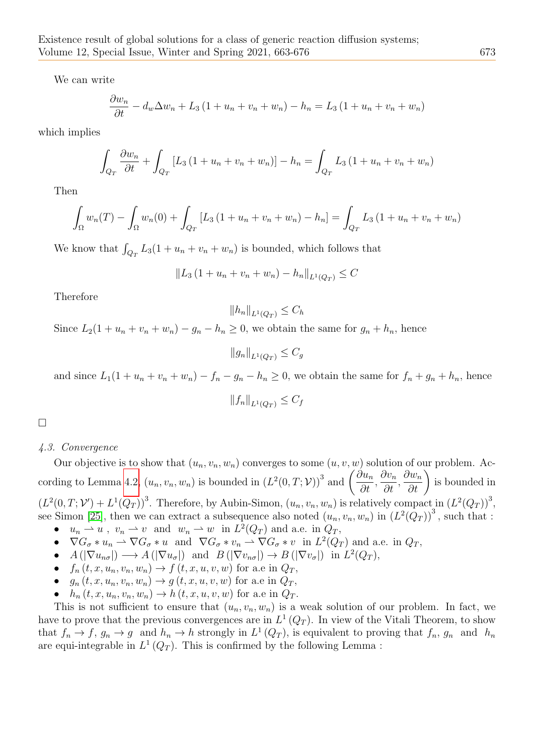We can write

$$
\frac{\partial w_n}{\partial t} - d_w \Delta w_n + L_3 (1 + u_n + v_n + w_n) - h_n = L_3 (1 + u_n + v_n + w_n)
$$

which implies

$$
\int_{Q_T} \frac{\partial w_n}{\partial t} + \int_{Q_T} [L_3 (1 + u_n + v_n + w_n)] - h_n = \int_{Q_T} L_3 (1 + u_n + v_n + w_n)
$$

Then

$$
\int_{\Omega} w_n(T) - \int_{\Omega} w_n(0) + \int_{Q_T} [L_3 (1 + u_n + v_n + w_n) - h_n] = \int_{Q_T} L_3 (1 + u_n + v_n + w_n)
$$

We know that  $\int_{Q_T} L_3(1 + u_n + v_n + w_n)$  is bounded, which follows that

$$
||L_3 (1 + u_n + v_n + w_n) - h_n||_{L^1(Q_T)} \leq C
$$

Therefore

$$
||h_n||_{L^1(Q_T)} \leq C_h
$$

Since  $L_2(1 + u_n + v_n + w_n) - g_n - h_n \geq 0$ , we obtain the same for  $g_n + h_n$ , hence

 $||g_n||_{L^1(O_T)} \leq C_q$ 

and since  $L_1(1 + u_n + v_n + w_n) - f_n - g_n - h_n \ge 0$ , we obtain the same for  $f_n + g_n + h_n$ , hence

$$
||f_n||_{L^1(Q_T)} \le C_f
$$

□

# 4.3. Convergence

Our objective is to show that  $(u_n, v_n, w_n)$  converges to some  $(u, v, w)$  solution of our problem. Ac-cording to Lemma [4.2,](#page-7-2)  $(u_n, v_n, w_n)$  is bounded in  $(L^2(0, T; \mathcal{V}))^3$  and  $\left(\frac{\partial u_n}{\partial t}\right)$  $\frac{\partial u_n}{\partial t},$  $\partial v_n$  $\frac{\partial}{\partial t}$ ,  $\frac{\partial w_n}{\partial t}\bigg)$ is bounded in  $(L^2(0,T; \mathcal{V}') + L^1(Q_T))^3$ . Therefore, by Aubin-Simon,  $(u_n, v_n, w_n)$  is relatively compact in  $(L^2(Q_T))^3$ , see Simon [\[25\]](#page-13-13), then we can extract a subsequence also noted  $(u_n, v_n, w_n)$  in  $(L^2(Q_T))^3$ , such that :

- $u_n \rightharpoonup u$ ,  $v_n \rightharpoonup v$  and  $w_n \rightharpoonup w$  in  $L^2(Q_T)$  and a.e. in  $Q_T$ ,
- $\nabla G_{\sigma} * u_n \rightharpoonup \nabla G_{\sigma} * u$  and  $\nabla G_{\sigma} * v_n \rightharpoonup \nabla G_{\sigma} * v$  in  $L^2(Q_T)$  and a.e. in  $Q_T$ ,
- $A(|\nabla u_{n\sigma}|) \longrightarrow A(|\nabla u_{\sigma}|)$  and  $B(|\nabla v_{n\sigma}|) \longrightarrow B(|\nabla v_{\sigma}|)$  in  $L^2(Q_T)$ ,
- $f_n(t, x, u_n, v_n, w_n) \to f(t, x, u, v, w)$  for a.e in  $Q_T$ ,
- $g_n(t, x, u_n, v_n, w_n) \rightarrow g(t, x, u, v, w)$  for a.e in  $Q_T$ ,
- $h_n(t, x, u_n, v_n, w_n) \to h(t, x, u, v, w)$  for a.e in  $Q_T$ .

This is not sufficient to ensure that  $(u_n, v_n, w_n)$  is a weak solution of our problem. In fact, we have to prove that the previous convergences are in  $L^1(Q_T)$ . In view of the Vitali Theorem, to show that  $f_n \to f$ ,  $g_n \to g$  and  $h_n \to h$  strongly in  $L^1(Q_T)$ , is equivalent to proving that  $f_n$ ,  $g_n$  and  $h_n$ are equi-integrable in  $L^1(Q_T)$ . This is confirmed by the following Lemma: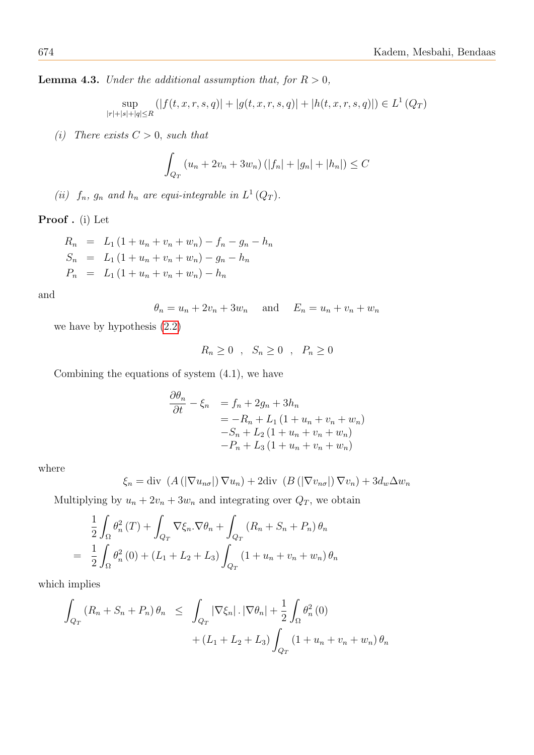**Lemma 4.3.** Under the additional assumption that, for  $R > 0$ ,

$$
\sup_{|r|+|s|+|q|\le R} (|f(t, x, r, s, q)| + |g(t, x, r, s, q)| + |h(t, x, r, s, q)|) \in L^1(Q_T)
$$

(i) There exists  $C > 0$ , such that

$$
\int_{Q_T} (u_n + 2v_n + 3w_n) (|f_n| + |g_n| + |h_n|) \le C
$$

(ii)  $f_n$ ,  $g_n$  and  $h_n$  are equi-integrable in  $L^1(Q_T)$ .

Proof . (i) Let

$$
R_n = L_1 (1 + u_n + v_n + w_n) - f_n - g_n - h_n
$$
  
\n
$$
S_n = L_1 (1 + u_n + v_n + w_n) - g_n - h_n
$$
  
\n
$$
P_n = L_1 (1 + u_n + v_n + w_n) - h_n
$$

and

$$
\theta_n = u_n + 2v_n + 3w_n \quad \text{and} \quad E_n = u_n + v_n + w_n
$$

we have by hypothesis (2.[2\)](#page-2-1)

$$
R_n \ge 0 \quad , \quad S_n \ge 0 \quad , \quad P_n \ge 0
$$

Combining the equations of system  $(4.1)$ , we have

$$
\frac{\partial \theta_n}{\partial t} - \xi_n = f_n + 2g_n + 3h_n
$$
  
= -R\_n + L\_1 (1 + u\_n + v\_n + w\_n)  
-S\_n + L\_2 (1 + u\_n + v\_n + w\_n)  
-P\_n + L\_3 (1 + u\_n + v\_n + w\_n)

where

$$
\xi_n = \text{div} \left( A\left( \left| \nabla u_{n\sigma} \right| \right) \nabla u_n \right) + 2 \text{div} \left( B\left( \left| \nabla v_{n\sigma} \right| \right) \nabla v_n \right) + 3 d_w \Delta w_n
$$

Multiplying by  $u_n + 2v_n + 3w_n$  and integrating over  $Q_T$ , we obtain

$$
\frac{1}{2} \int_{\Omega} \theta_n^2(T) + \int_{Q_T} \nabla \xi_n \cdot \nabla \theta_n + \int_{Q_T} (R_n + S_n + P_n) \theta_n
$$

$$
= \frac{1}{2} \int_{\Omega} \theta_n^2(0) + (L_1 + L_2 + L_3) \int_{Q_T} (1 + u_n + v_n + w_n) \theta_n
$$

which implies

$$
\int_{Q_T} (R_n + S_n + P_n) \theta_n \leq \int_{Q_T} |\nabla \xi_n| \cdot |\nabla \theta_n| + \frac{1}{2} \int_{\Omega} \theta_n^2(0) \n+ (L_1 + L_2 + L_3) \int_{Q_T} (1 + u_n + v_n + w_n) \theta_n
$$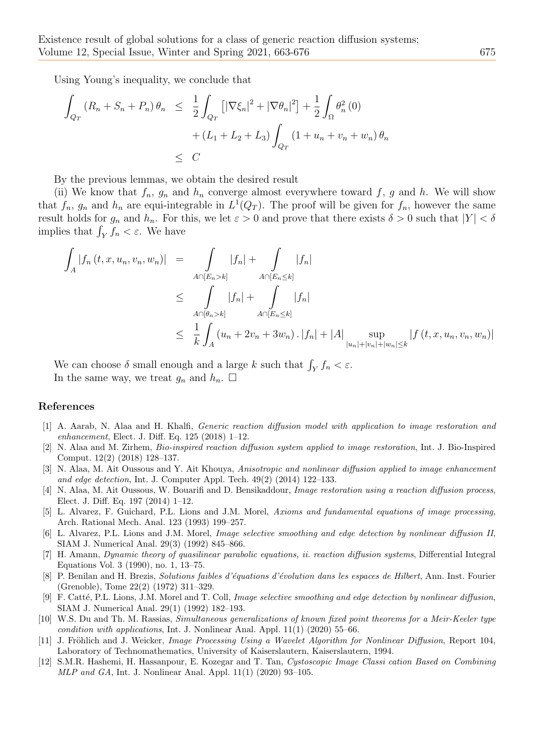Using Young's inequality, we conclude that

$$
\int_{Q_T} (R_n + S_n + P_n) \theta_n \leq \frac{1}{2} \int_{Q_T} \left[ |\nabla \xi_n|^2 + |\nabla \theta_n|^2 \right] + \frac{1}{2} \int_{\Omega} \theta_n^2(0) + (L_1 + L_2 + L_3) \int_{Q_T} (1 + u_n + v_n + w_n) \theta_n
$$
  

$$
\leq C
$$

By the previous lemmas, we obtain the desired result

(ii) We know that  $f_n$ ,  $g_n$  and  $h_n$  converge almost everywhere toward f, g and h. We will show that  $f_n$ ,  $g_n$  and  $h_n$  are equi-integrable in  $L^1(Q_T)$ . The proof will be given for  $f_n$ , however the same result holds for  $g_n$  and  $h_n$ . For this, we let  $\varepsilon > 0$  and prove that there exists  $\delta > 0$  such that  $|Y| < \delta$ implies that  $\int_Y f_n < \varepsilon$ . We have

$$
\int_{A} |f_{n}(t, x, u_{n}, v_{n}, w_{n})| = \int_{A \cap [E_{n} > k]} |f_{n}| + \int_{A \cap [E_{n} \le k]} |f_{n}|
$$
\n
$$
\leq \int_{A \cap [\theta_{n} > k]} |f_{n}| + \int_{A \cap [E_{n} \le k]} |f_{n}|
$$
\n
$$
\leq \frac{1}{k} \int_{A} (u_{n} + 2v_{n} + 3w_{n}) \cdot |f_{n}| + |A| \sup_{|u_{n}| + |v_{n}| + |w_{n}| \le k} |f(t, x, u_{n}, v_{n}, w_{n})|
$$

We can choose  $\delta$  small enough and a large k such that  $\int_Y f_n < \varepsilon$ . In the same way, we treat  $g_n$  and  $h_n$ .  $\Box$ 

### References

- <span id="page-12-0"></span>[1] A. Aarab, N. Alaa and H. Khalfi, Generic reaction diffusion model with application to image restoration and enhancement, Elect. J. Diff. Eq. 125 (2018) 1–12.
- <span id="page-12-8"></span>[2] N. Alaa and M. Zirhem, Bio-inspired reaction diffusion system applied to image restoration, Int. J. Bio-Inspired Comput. 12(2) (2018) 128–137.
- [3] N. Alaa, M. Ait Oussous and Y. Ait Khouya, Anisotropic and nonlinear diffusion applied to image enhancement and edge detection, Int. J. Computer Appl. Tech.  $49(2)$   $(2014)$  122–133.
- <span id="page-12-1"></span>[4] N. Alaa, M. Ait Oussous, W. Bouarifi and D. Bensikaddour, Image restoration using a reaction diffusion process, Elect. J. Diff. Eq. 197 (2014) 1–12.
- <span id="page-12-2"></span>[5] L. Alvarez, F. Guichard, P.L. Lions and J.M. Morel, Axioms and fundamental equations of image processing, Arch. Rational Mech. Anal. 123 (1993) 199–257.
- <span id="page-12-3"></span>L. Alvarez, P.L. Lions and J.M. Morel, Image selective smoothing and edge detection by nonlinear diffusion II, SIAM J. Numerical Anal. 29(3) (1992) 845–866.
- <span id="page-12-9"></span>[7] H. Amann, Dynamic theory of quasilinear parabolic equations, ii. reaction diffusion systems, Differential Integral Equations Vol. 3 (1990), no. 1, 13–75.
- <span id="page-12-10"></span>[8] P. Benilan and H. Brezis, Solutions faibles d'équations d'évolution dans les espaces de Hilbert, Ann. Inst. Fourier (Grenoble), Tome 22(2) (1972) 311–329.
- <span id="page-12-4"></span>[9] F. Catté, P.L. Lions, J.M. Morel and T. Coll, Image selective smoothing and edge detection by nonlinear diffusion, SIAM J. Numerical Anal. 29(1) (1992) 182–193.
- <span id="page-12-7"></span>[10] W.S. Du and Th. M. Rassias, Simultaneous generalizations of known fixed point theorems for a Meir-Keeler type condition with applications, Int. J. Nonlinear Anal. Appl.  $11(1)$  (2020) 55–66.
- <span id="page-12-5"></span>[11] J. Fröhlich and J. Weicker, *Image Processing Using a Wavelet Algorithm for Nonlinear Diffusion*, Report 104, Laboratory of Technomathematics, University of Kaiserslautern, Kaiserslautern, 1994.
- <span id="page-12-6"></span>[12] S.M.R. Hashemi, H. Hassanpour, E. Kozegar and T. Tan, Cystoscopic Image Classi cation Based on Combining MLP and GA, Int. J. Nonlinear Anal. Appl. 11(1) (2020) 93–105.